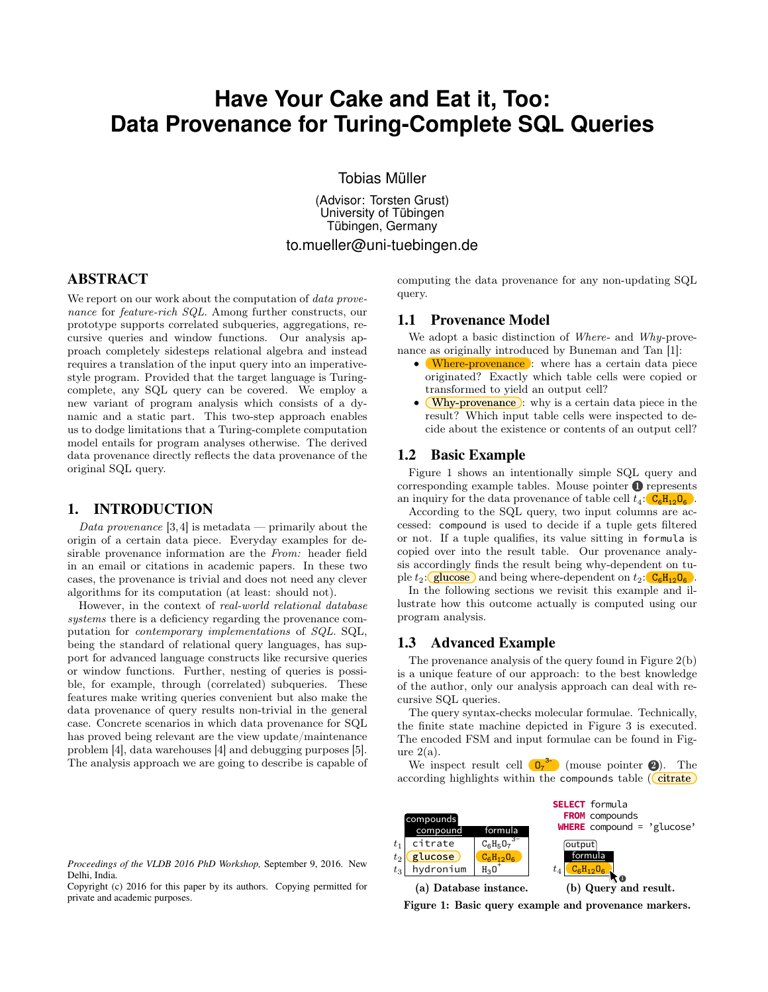# **Have Your Cake and Eat it, Too: Data Provenance for Turing-Complete SQL Queries**

Tobias Müller

(Advisor: Torsten Grust) University of Tübingen Tübingen, Germany to.mueller@uni-tuebingen.de

# ABSTRACT

We report on our work about the computation of *data prove*nance for feature-rich SQL. Among further constructs, our prototype supports correlated subqueries, aggregations, recursive queries and window functions. Our analysis approach completely sidesteps relational algebra and instead requires a translation of the input query into an imperativestyle program. Provided that the target language is Turingcomplete, any SQL query can be covered. We employ a new variant of program analysis which consists of a dynamic and a static part. This two-step approach enables us to dodge limitations that a Turing-complete computation model entails for program analyses otherwise. The derived data provenance directly reflects the data provenance of the original SQL query.

## 1. INTRODUCTION

Data provenance  $[3,4]$  is metadata — primarily about the origin of a certain data piece. Everyday examples for desirable provenance information are the From: header field in an email or citations in academic papers. In these two cases, the provenance is trivial and does not need any clever algorithms for its computation (at least: should not).

However, in the context of real-world relational database systems there is a deficiency regarding the provenance computation for contemporary implementations of SQL. SQL, being the standard of relational query languages, has support for advanced language constructs like recursive queries or window functions. Further, nesting of queries is possible, for example, through (correlated) subqueries. These features make writing queries convenient but also make the data provenance of query results non-trivial in the general case. Concrete scenarios in which data provenance for SQL has proved being relevant are the view update/maintenance problem [4], data warehouses [4] and debugging purposes [5]. The analysis approach we are going to describe is capable of

computing the data provenance for any non-updating SQL query.

# 1.1 Provenance Model

We adopt a basic distinction of Where- and Why-provenance as originally introduced by Buneman and Tan [1]:

- Where-provenance : where has a certain data piece originated? Exactly which table cells were copied or transformed to yield an output cell?
- (Why-provenance): why is a certain data piece in the result? Which input table cells were inspected to decide about the existence or contents of an output cell?

#### 1.2 Basic Example

Figure 1 shows an intentionally simple SQL query and corresponding example tables. Mouse pointer  $\bullet$  represents an inquiry for the data provenance of table cell  $t_4$ :  $C_6H_{12}O_6$ .

According to the SQL query, two input columns are accessed: compound is used to decide if a tuple gets filtered or not. If a tuple qualifies, its value sitting in formula is copied over into the result table. Our provenance analysis accordingly finds the result being why-dependent on tuple  $t_2$ :  $\boxed{\text{glucose}}$  and being where-dependent on  $t_2$ :  $\boxed{\text{C}_6\text{H}_{12}\text{O}_6}$ .

In the following sections we revisit this example and illustrate how this outcome actually is computed using our program analysis.

# 1.3 Advanced Example

The provenance analysis of the query found in Figure 2(b) is a unique feature of our approach: to the best knowledge of the author, only our analysis approach can deal with recursive SQL queries.

The query syntax-checks molecular formulae. Technically, the finite state machine depicted in Figure 3 is executed. The encoded FSM and input formulae can be found in Figure  $2(a)$ .

We inspect result cell  $\left( \mathbf{D}_7 \right)^3$  (mouse pointer  $\bullet$ ). The according highlights within the compounds table  $(\text{citrate})$ 



*Proceedings of the VLDB 2016 PhD Workshop,* September 9, 2016. New Delhi, India.

Copyright (c) 2016 for this paper by its authors. Copying permitted for private and academic purposes.

Figure 1: Basic query example and provenance markers.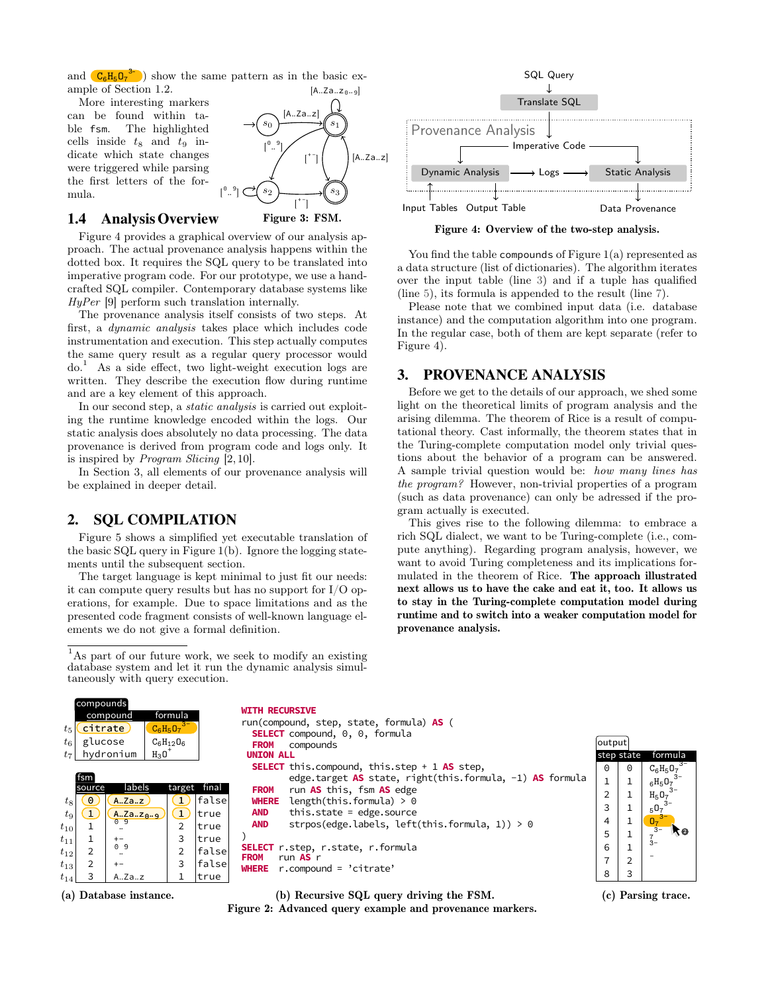and  $(C_6H_5O_7^{3-})$  show the same pattern as in the basic example of Section 1.2.

More interesting markers can be found within table fsm. The highlighted cells inside  $t_8$  and  $t_9$  indicate which state changes were triggered while parsing the first letters of the formula.

## 1.4 Analysis Overview



Figure 4 provides a graphical overview of our analysis approach. The actual provenance analysis happens within the dotted box. It requires the SQL query to be translated into imperative program code. For our prototype, we use a handcrafted SQL compiler. Contemporary database systems like HyPer [9] perform such translation internally.

[ 0 ..

The provenance analysis itself consists of two steps. At first, a dynamic analysis takes place which includes code instrumentation and execution. This step actually computes the same query result as a regular query processor would  $do.<sup>1</sup>$  As a side effect, two light-weight execution logs are written. They describe the execution flow during runtime and are a key element of this approach.

In our second step, a static analysis is carried out exploiting the runtime knowledge encoded within the logs. Our static analysis does absolutely no data processing. The data provenance is derived from program code and logs only. It is inspired by Program Slicing [2, 10].

In Section 3, all elements of our provenance analysis will be explained in deeper detail.

# 2. SQL COMPILATION

Figure 5 shows a simplified yet executable translation of the basic SQL query in Figure 1(b). Ignore the logging statements until the subsequent section.

The target language is kept minimal to just fit our needs: it can compute query results but has no support for I/O operations, for example. Due to space limitations and as the presented code fragment consists of well-known language elements we do not give a formal definition.



Figure 4: Overview of the two-step analysis.

You find the table compounds of Figure 1(a) represented as a data structure (list of dictionaries). The algorithm iterates over the input table (line 3) and if a tuple has qualified (line 5), its formula is appended to the result (line 7).

Please note that we combined input data (i.e. database instance) and the computation algorithm into one program. In the regular case, both of them are kept separate (refer to Figure 4).

# 3. PROVENANCE ANALYSIS

Before we get to the details of our approach, we shed some light on the theoretical limits of program analysis and the arising dilemma. The theorem of Rice is a result of computational theory. Cast informally, the theorem states that in the Turing-complete computation model only trivial questions about the behavior of a program can be answered. A sample trivial question would be: how many lines has the program? However, non-trivial properties of a program (such as data provenance) can only be adressed if the program actually is executed.

This gives rise to the following dilemma: to embrace a rich SQL dialect, we want to be Turing-complete (i.e., compute anything). Regarding program analysis, however, we want to avoid Turing completeness and its implications formulated in the theorem of Rice. The approach illustrated next allows us to have the cake and eat it, too. It allows us to stay in the Turing-complete computation model during runtime and to switch into a weaker computation model for provenance analysis.





(b) Recursive SQL query driving the FSM.

Figure 2: Advanced query example and provenance markers.

(c) Parsing trace.

<sup>&</sup>lt;sup>1</sup>As part of our future work, we seek to modify an existing database system and let it run the dynamic analysis simultaneously with query execution.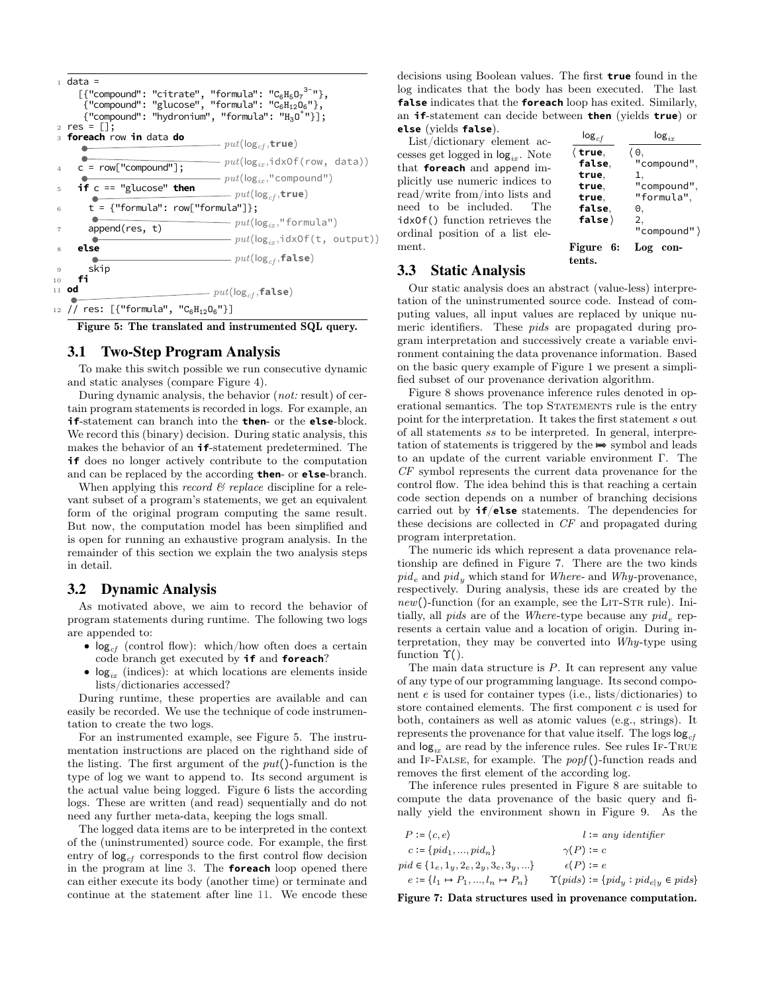

Figure 5: The translated and instrumented SQL query.

#### 3.1 Two-Step Program Analysis

To make this switch possible we run consecutive dynamic and static analyses (compare Figure 4).

During dynamic analysis, the behavior (*not:* result) of certain program statements is recorded in logs. For example, an **if**-statement can branch into the **then**- or the **else**-block. We record this (binary) decision. During static analysis, this makes the behavior of an **if**-statement predetermined. The **if** does no longer actively contribute to the computation and can be replaced by the according **then**- or **else**-branch.

When applying this record  $\mathcal B$  replace discipline for a relevant subset of a program's statements, we get an equivalent form of the original program computing the same result. But now, the computation model has been simplified and is open for running an exhaustive program analysis. In the remainder of this section we explain the two analysis steps in detail.

# 3.2 Dynamic Analysis

As motivated above, we aim to record the behavior of program statements during runtime. The following two logs are appended to:

- $log_{cf}$  (control flow): which/how often does a certain code branch get executed by **if** and **foreach**?
- $log_{ix}$  (indices): at which locations are elements inside lists/dictionaries accessed?

During runtime, these properties are available and can easily be recorded. We use the technique of code instrumentation to create the two logs.

For an instrumented example, see Figure 5. The instrumentation instructions are placed on the righthand side of the listing. The first argument of the  $put()$ -function is the type of log we want to append to. Its second argument is the actual value being logged. Figure 6 lists the according logs. These are written (and read) sequentially and do not need any further meta-data, keeping the logs small.

The logged data items are to be interpreted in the context of the (uninstrumented) source code. For example, the first entry of  $log_{cf}$  corresponds to the first control flow decision in the program at line 3. The **foreach** loop opened there can either execute its body (another time) or terminate and continue at the statement after line 11. We encode these decisions using Boolean values. The first **true** found in the log indicates that the body has been executed. The last **false** indicates that the **foreach** loop has exited. Similarly, an **if**-statement can decide between **then** (yields **true**) or **else** (yields **false**).

List/dictionary element accesses get logged in  $log_{ir}$ . Note that **foreach** and append implicitly use numeric indices to read/write from/into lists and need to be included. The idxOf() function retrieves the ordinal position of a list element.

| $log_{cf}$                                                                        | $log_{ir}$                                                                       |
|-----------------------------------------------------------------------------------|----------------------------------------------------------------------------------|
| $\langle$ true,<br>false,<br>true.<br>true.<br>true.<br>false.<br>false $\rangle$ | 60,<br>"compound",<br>1,<br>"compound",<br>"formula",<br>0,<br>2,<br>"compound") |
| Figure<br>6:<br>tents.                                                            | Log<br>con-                                                                      |

# 3.3 Static Analysis

Our static analysis does an abstract (value-less) interpretation of the uninstrumented source code. Instead of computing values, all input values are replaced by unique numeric identifiers. These pids are propagated during program interpretation and successively create a variable environment containing the data provenance information. Based on the basic query example of Figure 1 we present a simplified subset of our provenance derivation algorithm.

Figure 8 shows provenance inference rules denoted in operational semantics. The top STATEMENTS rule is the entry point for the interpretation. It takes the first statement s out of all statements ss to be interpreted. In general, interpretation of statements is triggered by the  $\Rightarrow$  symbol and leads to an update of the current variable environment Γ. The CF symbol represents the current data provenance for the control flow. The idea behind this is that reaching a certain code section depends on a number of branching decisions carried out by **if**/**else** statements. The dependencies for these decisions are collected in CF and propagated during program interpretation.

The numeric ids which represent a data provenance relationship are defined in Figure 7. There are the two kinds  $pid_e$  and  $pid_y$  which stand for Where- and Why-provenance, respectively. During analysis, these ids are created by the  $new()$ -function (for an example, see the LIT-STR rule). Initially, all *pids* are of the *Where*-type because any  $pid_e$  represents a certain value and a location of origin. During interpretation, they may be converted into Why-type using function  $\Upsilon$ .

The main data structure is  $P$ . It can represent any value of any type of our programming language. Its second component e is used for container types (i.e., lists/dictionaries) to store contained elements. The first component c is used for both, containers as well as atomic values (e.g., strings). It represents the provenance for that value itself. The logs  $log_{cf}$ and  $log_{ir}$  are read by the inference rules. See rules IF-TRUE and IF-FALSE, for example. The  $popf()$ -function reads and removes the first element of the according log.

The inference rules presented in Figure 8 are suitable to compute the data provenance of the basic query and finally yield the environment shown in Figure 9. As the

| $P := (c, e)$                                      | $l := any$ identifier                              |
|----------------------------------------------------|----------------------------------------------------|
| $c := \{pid_1, , pid_n\}$                          | $\gamma(P) := c$                                   |
| $pid \in \{1_e, 1_y, 2_e, 2_y, 3_e, 3_y, \ldots\}$ | $\epsilon(P) := e$                                 |
| $e := \{l_1 \mapsto P_1, , l_n \mapsto P_n\}$      | $\Upsilon(pids) := \{pid_y : pid_{e y} \in pids\}$ |

Figure 7: Data structures used in provenance computation.